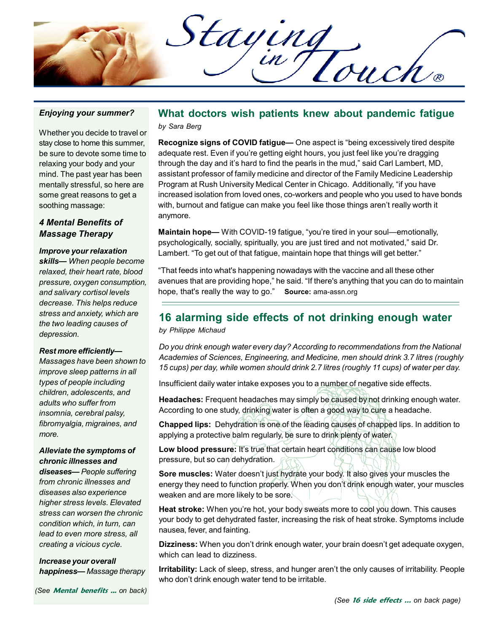Staying

#### Enjoying your summer?

Whether you decide to travel or stay close to home this summer, be sure to devote some time to relaxing your body and your mind. The past year has been mentally stressful, so here are some great reasons to get a soothing massage:

## 4 Mental Benefits of Massage Therapy

#### Improve your relaxation

skills— When people become relaxed, their heart rate, blood pressure, oxygen consumption, and salivary cortisol levels decrease. This helps reduce stress and anxiety, which are the two leading causes of depression.

#### Rest more efficiently—

Massages have been shown to improve sleep patterns in all types of people including children, adolescents, and adults who suffer from insomnia, cerebral palsy, fibromyalgia, migraines, and more.

## Alleviate the symptoms of chronic illnesses and

diseases— People suffering from chronic illnesses and diseases also experience higher stress levels. Elevated stress can worsen the chronic condition which, in turn, can lead to even more stress, all creating a vicious cycle.

Increase your overall happiness— Massage therapy

## What doctors wish patients knew about pandemic fatigue by Sara Berg

Recognize signs of COVID fatigue— One aspect is "being excessively tired despite adequate rest. Even if you're getting eight hours, you just feel like you're dragging through the day and it's hard to find the pearls in the mud," said Carl Lambert, MD, assistant professor of family medicine and director of the Family Medicine Leadership Program at Rush University Medical Center in Chicago. Additionally, "if you have increased isolation from loved ones, co-workers and people who you used to have bonds with, burnout and fatigue can make you feel like those things aren't really worth it anymore.

Maintain hope— With COVID-19 fatigue, "you're tired in your soul—emotionally, psychologically, socially, spiritually, you are just tired and not motivated," said Dr. Lambert. "To get out of that fatigue, maintain hope that things will get better."

"That feeds into what's happening nowadays with the vaccine and all these other avenues that are providing hope," he said. "If there's anything that you can do to maintain hope, that's really the way to go." Source: ama-assn.org

# 16 alarming side effects of not drinking enough water

by Philippe Michaud

Do you drink enough water every day? According to recommendations from the National Academies of Sciences, Engineering, and Medicine, men should drink 3.7 litres (roughly 15 cups) per day, while women should drink 2.7 litres (roughly 11 cups) of water per day.

Insufficient daily water intake exposes you to a number of negative side effects.

Headaches: Frequent headaches may simply be caused by not drinking enough water. According to one study, drinking water is often a good way to cure a headache.

Chapped lips: Dehydration is one of the leading causes of chapped lips. In addition to applying a protective balm regularly, be sure to drink plenty of water.

Low blood pressure: It's true that certain heart conditions can cause low blood pressure, but so can dehydration.

Sore muscles: Water doesn't just hydrate your body. It also gives your muscles the energy they need to function properly. When you don't drink enough water, your muscles weaken and are more likely to be sore.

Heat stroke: When you're hot, your body sweats more to cool you down. This causes your body to get dehydrated faster, increasing the risk of heat stroke. Symptoms include nausea, fever, and fainting.

Dizziness: When you don't drink enough water, your brain doesn't get adequate oxygen, which can lead to dizziness.

Irritability: Lack of sleep, stress, and hunger aren't the only causes of irritability. People who don't drink enough water tend to be irritable.

(See Mental benefits ... on back)